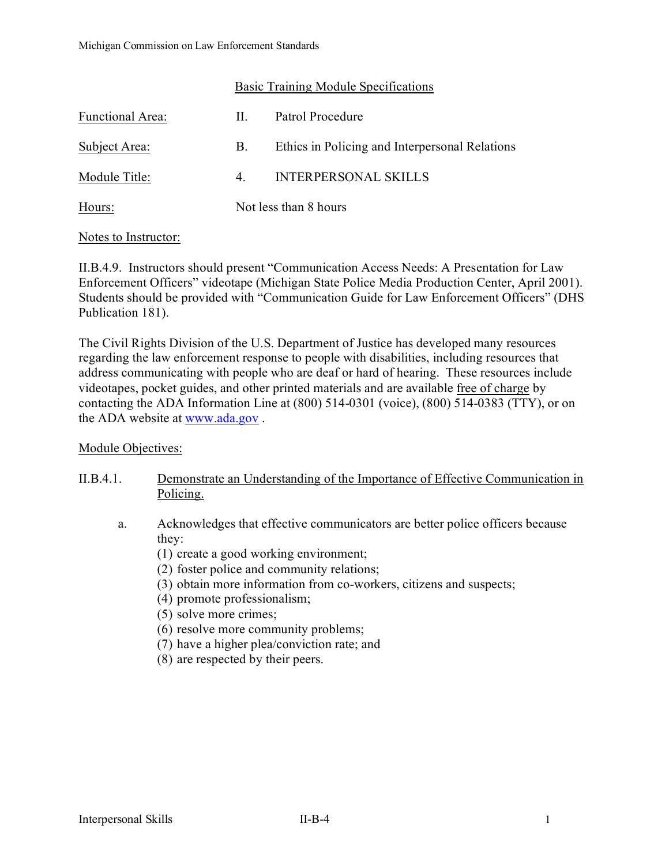### Basic Training Module Specifications

| <b>Functional Area:</b> | - H.                            | Patrol Procedure                               |
|-------------------------|---------------------------------|------------------------------------------------|
| Subject Area:           | B.                              | Ethics in Policing and Interpersonal Relations |
| Module Title:           | $4_{\scriptscriptstyle{\perp}}$ | <b>INTERPERSONAL SKILLS</b>                    |
| Hours:                  |                                 | Not less than 8 hours                          |

### Notes to Instructor:

II.B.4.9. Instructors should present "Communication Access Needs: A Presentation for Law Enforcement Officers" videotape (Michigan State Police Media Production Center, April 2001). Students should be provided with "Communication Guide for Law Enforcement Officers" (DHS Publication 181).

The Civil Rights Division of the U.S. Department of Justice has developed many resources regarding the law enforcement response to people with disabilities, including resources that address communicating with people who are deaf or hard of hearing. These resources include videotapes, pocket guides, and other printed materials and are available free of charge by contacting the ADA Information Line at (800) 514-0301 (voice), (800) 514-0383 (TTY), or on the ADA website at [www.ada.gov](http://www.ada.gov/) .

### Module Objectives:

- II.B.4.1. Demonstrate an Understanding of the Importance of Effective Communication in Policing.
	- a. Acknowledges that effective communicators are better police officers because they:
		- (1) create a good working environment;
		- (2) foster police and community relations;
		- (3) obtain more information from co-workers, citizens and suspects;
		- (4) promote professionalism;
		- (5) solve more crimes;
		- (6) resolve more community problems;
		- (7) have a higher plea/conviction rate; and
		- (8) are respected by their peers.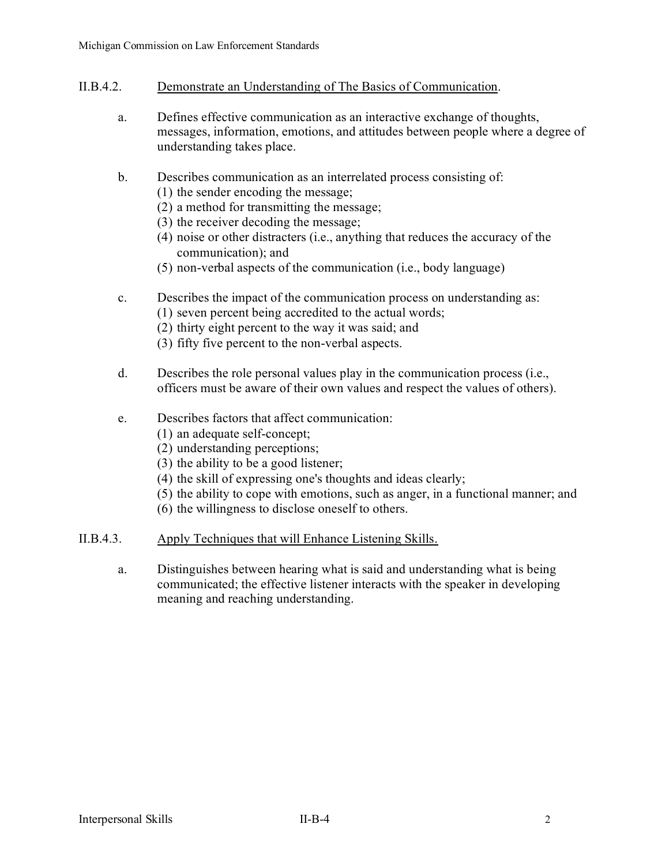- II.B.4.2. Demonstrate an Understanding of The Basics of Communication.
	- a. Defines effective communication as an interactive exchange of thoughts, messages, information, emotions, and attitudes between people where a degree of understanding takes place.
	- b. Describes communication as an interrelated process consisting of:
		- (1) the sender encoding the message;
		- (2) a method for transmitting the message;
		- (3) the receiver decoding the message;
		- (4) noise or other distracters (i.e., anything that reduces the accuracy of the communication); and
		- (5) non-verbal aspects of the communication (i.e., body language)
	- c. Describes the impact of the communication process on understanding as:
		- (1) seven percent being accredited to the actual words;
		- (2) thirty eight percent to the way it was said; and
		- (3) fifty five percent to the non-verbal aspects.
	- d. Describes the role personal values play in the communication process (i.e., officers must be aware of their own values and respect the values of others).
	- e. Describes factors that affect communication:
		- (1) an adequate self-concept;
		- (2) understanding perceptions;
		- (3) the ability to be a good listener;
		- (4) the skill of expressing one's thoughts and ideas clearly;
		- (5) the ability to cope with emotions, such as anger, in a functional manner; and
		- (6) the willingness to disclose oneself to others.
- II.B.4.3. Apply Techniques that will Enhance Listening Skills.
	- a. Distinguishes between hearing what is said and understanding what is being communicated; the effective listener interacts with the speaker in developing meaning and reaching understanding.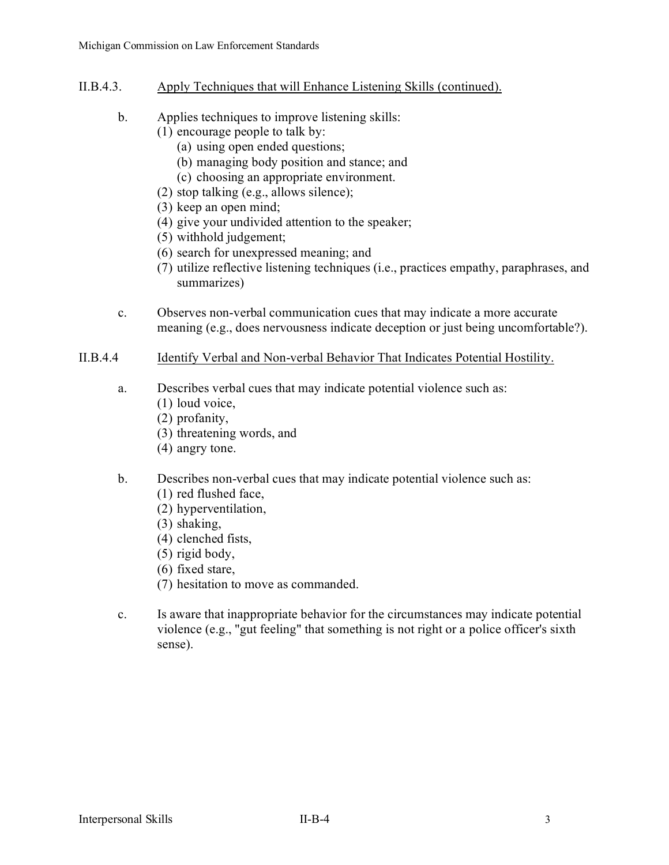- II.B.4.3. Apply Techniques that will Enhance Listening Skills (continued).
	- b. Applies techniques to improve listening skills:
		- (1) encourage people to talk by:
			- (a) using open ended questions;
			- (b) managing body position and stance; and
			- (c) choosing an appropriate environment.
		- (2) stop talking (e.g., allows silence);
		- (3) keep an open mind;
		- (4) give your undivided attention to the speaker;
		- (5) withhold judgement;
		- (6) search for unexpressed meaning; and
		- (7) utilize reflective listening techniques (i.e., practices empathy, paraphrases, and summarizes)
	- c. Observes non-verbal communication cues that may indicate a more accurate meaning (e.g., does nervousness indicate deception or just being uncomfortable?).

# II.B.4.4 Identify Verbal and Non-verbal Behavior That Indicates Potential Hostility.

- a. Describes verbal cues that may indicate potential violence such as:
	- (1) loud voice,
	- (2) profanity,
	- (3) threatening words, and
	- (4) angry tone.

# b. Describes non-verbal cues that may indicate potential violence such as:

- (1) red flushed face,
- (2) hyperventilation,
- (3) shaking,
- (4) clenched fists,
- (5) rigid body,
- (6) fixed stare,
- (7) hesitation to move as commanded.
- c. Is aware that inappropriate behavior for the circumstances may indicate potential violence (e.g., "gut feeling" that something is not right or a police officer's sixth sense).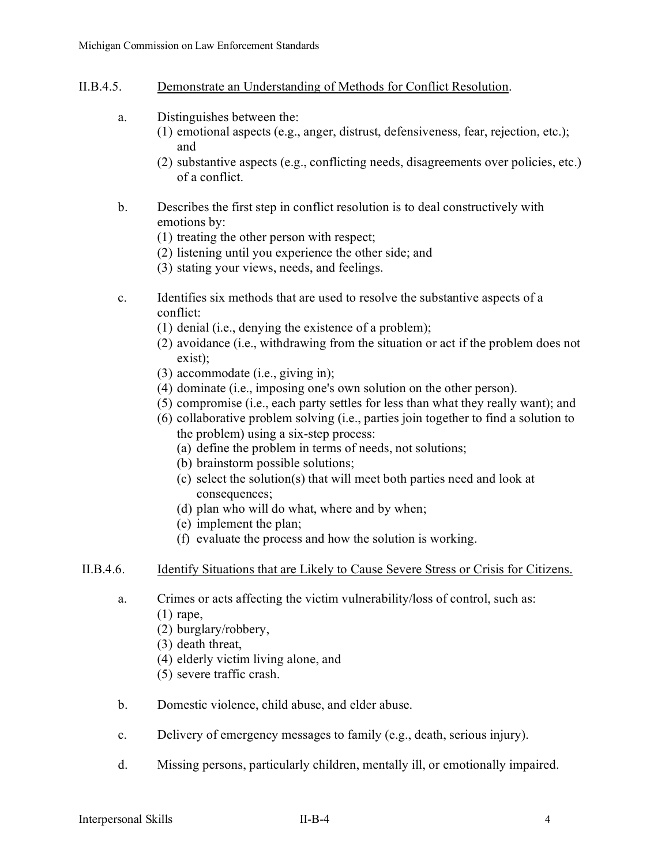### II.B.4.5. Demonstrate an Understanding of Methods for Conflict Resolution.

- a. Distinguishes between the:
	- (1) emotional aspects (e.g., anger, distrust, defensiveness, fear, rejection, etc.); and
		- (2) substantive aspects (e.g., conflicting needs, disagreements over policies, etc.) of a conflict.
- b. Describes the first step in conflict resolution is to deal constructively with emotions by:
	- (1) treating the other person with respect;
	- (2) listening until you experience the other side; and
	- (3) stating your views, needs, and feelings.
- c. Identifies six methods that are used to resolve the substantive aspects of a conflict:
	- (1) denial (i.e., denying the existence of a problem);
	- (2) avoidance (i.e., withdrawing from the situation or act if the problem does not exist);
	- (3) accommodate (i.e., giving in);
	- (4) dominate (i.e., imposing one's own solution on the other person).
	- (5) compromise (i.e., each party settles for less than what they really want); and
	- (6) collaborative problem solving (i.e., parties join together to find a solution to the problem) using a six-step process:
		- (a) define the problem in terms of needs, not solutions;
		- (b) brainstorm possible solutions;
		- (c) select the solution(s) that will meet both parties need and look at consequences;
		- (d) plan who will do what, where and by when;
		- (e) implement the plan;
		- (f) evaluate the process and how the solution is working.

### II.B.4.6. Identify Situations that are Likely to Cause Severe Stress or Crisis for Citizens.

- a. Crimes or acts affecting the victim vulnerability/loss of control, such as:
	- (1) rape,
	- (2) burglary/robbery,
	- (3) death threat,
	- (4) elderly victim living alone, and
	- (5) severe traffic crash.
- b. Domestic violence, child abuse, and elder abuse.
- c. Delivery of emergency messages to family (e.g., death, serious injury).
- d. Missing persons, particularly children, mentally ill, or emotionally impaired.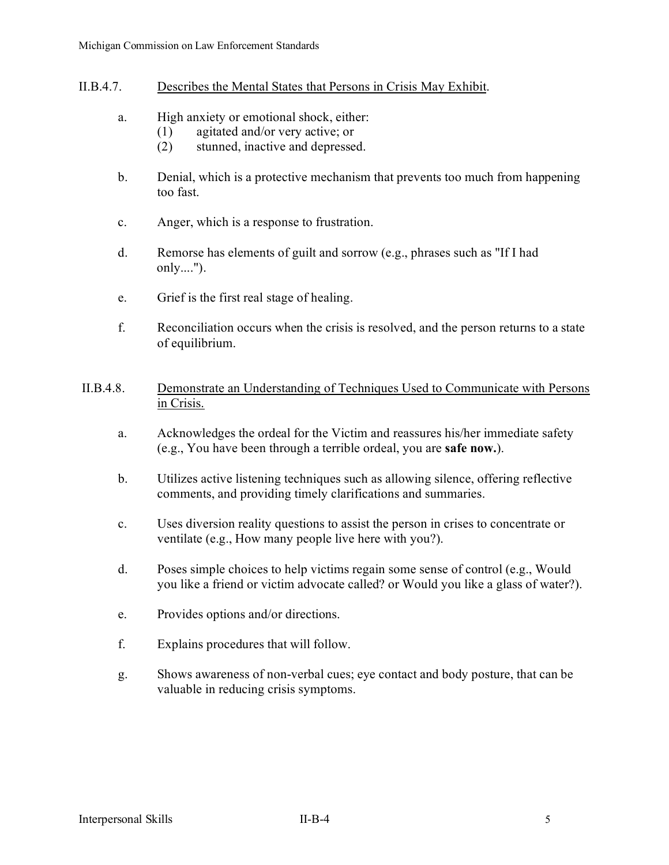- II.B.4.7. Describes the Mental States that Persons in Crisis May Exhibit.
	- a. High anxiety or emotional shock, either:
		- (1) agitated and/or very active; or
		- (2) stunned, inactive and depressed.
	- b. Denial, which is a protective mechanism that prevents too much from happening too fast.
	- c. Anger, which is a response to frustration.
	- d. Remorse has elements of guilt and sorrow (e.g., phrases such as "If I had only....").
	- e. Grief is the first real stage of healing.
	- f. Reconciliation occurs when the crisis is resolved, and the person returns to a state of equilibrium.
- II.B.4.8. Demonstrate an Understanding of Techniques Used to Communicate with Persons in Crisis.
	- a. Acknowledges the ordeal for the Victim and reassures his/her immediate safety (e.g., You have been through a terrible ordeal, you are **safe now.**).
	- b. Utilizes active listening techniques such as allowing silence, offering reflective comments, and providing timely clarifications and summaries.
	- c. Uses diversion reality questions to assist the person in crises to concentrate or ventilate (e.g., How many people live here with you?).
	- d. Poses simple choices to help victims regain some sense of control (e.g., Would you like a friend or victim advocate called? or Would you like a glass of water?).
	- e. Provides options and/or directions.
	- f. Explains procedures that will follow.
	- g. Shows awareness of non-verbal cues; eye contact and body posture, that can be valuable in reducing crisis symptoms.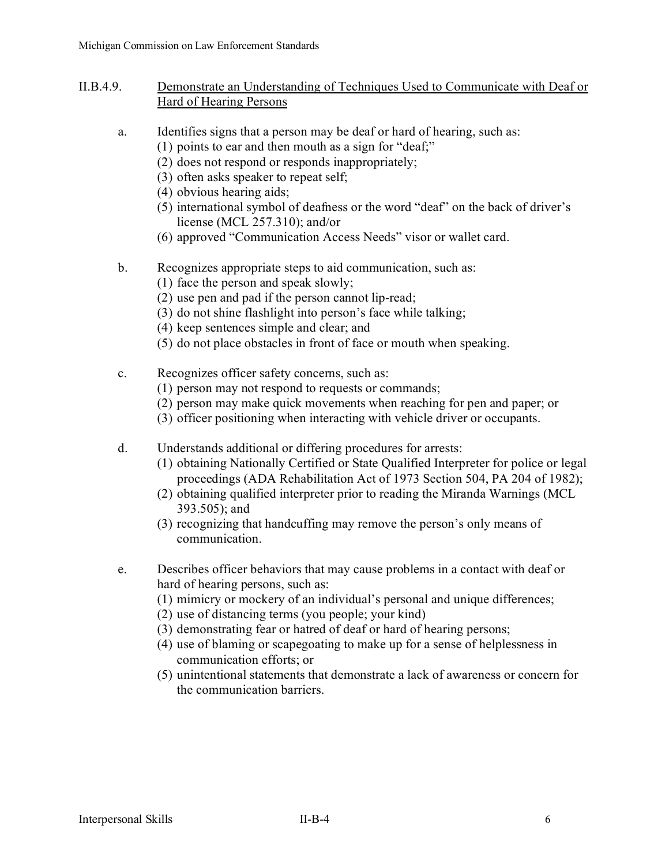- II.B.4.9. Demonstrate an Understanding of Techniques Used to Communicate with Deaf or Hard of Hearing Persons
	- a. Identifies signs that a person may be deaf or hard of hearing, such as:
		- (1) points to ear and then mouth as a sign for "deaf;"
		- (2) does not respond or responds inappropriately;
		- (3) often asks speaker to repeat self;
		- (4) obvious hearing aids;
		- (5) international symbol of deafness or the word "deaf" on the back of driver's license (MCL 257.310); and/or
		- (6) approved "Communication Access Needs" visor or wallet card.
	- b. Recognizes appropriate steps to aid communication, such as:
		- (1) face the person and speak slowly;
		- (2) use pen and pad if the person cannot lip-read;
		- (3) do not shine flashlight into person's face while talking;
		- (4) keep sentences simple and clear; and
		- (5) do not place obstacles in front of face or mouth when speaking.
	- c. Recognizes officer safety concerns, such as:
		- (1) person may not respond to requests or commands;
		- (2) person may make quick movements when reaching for pen and paper; or
		- (3) officer positioning when interacting with vehicle driver or occupants.
	- d. Understands additional or differing procedures for arrests:
		- (1) obtaining Nationally Certified or State Qualified Interpreter for police or legal proceedings (ADA Rehabilitation Act of 1973 Section 504, PA 204 of 1982);
		- (2) obtaining qualified interpreter prior to reading the Miranda Warnings (MCL 393.505); and
		- (3) recognizing that handcuffing may remove the person's only means of communication.
	- e. Describes officer behaviors that may cause problems in a contact with deaf or hard of hearing persons, such as:
		- (1) mimicry or mockery of an individual's personal and unique differences;
		- (2) use of distancing terms (you people; your kind)
		- (3) demonstrating fear or hatred of deaf or hard of hearing persons;
		- (4) use of blaming or scapegoating to make up for a sense of helplessness in communication efforts; or
		- (5) unintentional statements that demonstrate a lack of awareness or concern for the communication barriers.